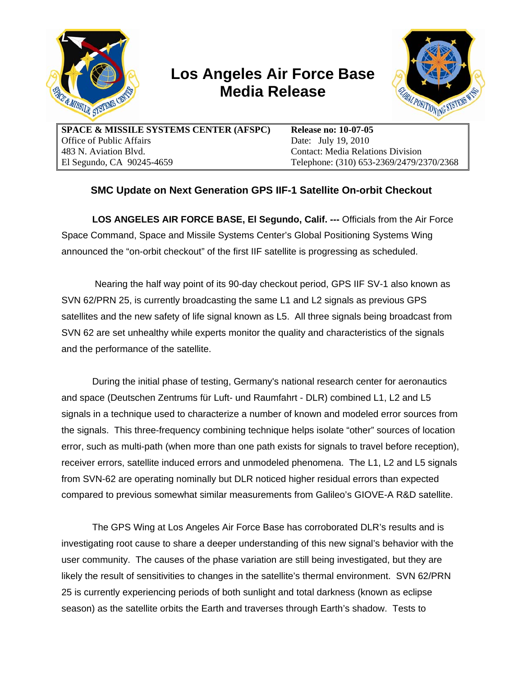

## **Los Angeles Air Force Base Media Release**



**SPACE & MISSILE SYSTEMS CENTER (AFSPC)**  Office of Public Affairs 483 N. Aviation Blvd. El Segundo, CA 90245-4659

**Release no: 10-07-05** Date: July 19, 2010 Contact: Media Relations Division Telephone: (310) 653-2369/2479/2370/2368

## **SMC Update on Next Generation GPS IIF-1 Satellite On-orbit Checkout**

**LOS ANGELES AIR FORCE BASE, El Segundo, Calif. ---** Officials from the Air Force Space Command, Space and Missile Systems Center's Global Positioning Systems Wing announced the "on-orbit checkout" of the first IIF satellite is progressing as scheduled.

 Nearing the half way point of its 90-day checkout period, GPS IIF SV-1 also known as SVN 62/PRN 25, is currently broadcasting the same L1 and L2 signals as previous GPS satellites and the new safety of life signal known as L5. All three signals being broadcast from SVN 62 are set unhealthy while experts monitor the quality and characteristics of the signals and the performance of the satellite.

During the initial phase of testing, Germany's national research center for aeronautics and space (Deutschen Zentrums für Luft- und Raumfahrt - DLR) combined L1, L2 and L5 signals in a technique used to characterize a number of known and modeled error sources from the signals. This three-frequency combining technique helps isolate "other" sources of location error, such as multi-path (when more than one path exists for signals to travel before reception), receiver errors, satellite induced errors and unmodeled phenomena. The L1, L2 and L5 signals from SVN-62 are operating nominally but DLR noticed higher residual errors than expected compared to previous somewhat similar measurements from Galileo's GIOVE-A R&D satellite.

The GPS Wing at Los Angeles Air Force Base has corroborated DLR's results and is investigating root cause to share a deeper understanding of this new signal's behavior with the user community. The causes of the phase variation are still being investigated, but they are likely the result of sensitivities to changes in the satellite's thermal environment. SVN 62/PRN 25 is currently experiencing periods of both sunlight and total darkness (known as eclipse season) as the satellite orbits the Earth and traverses through Earth's shadow. Tests to